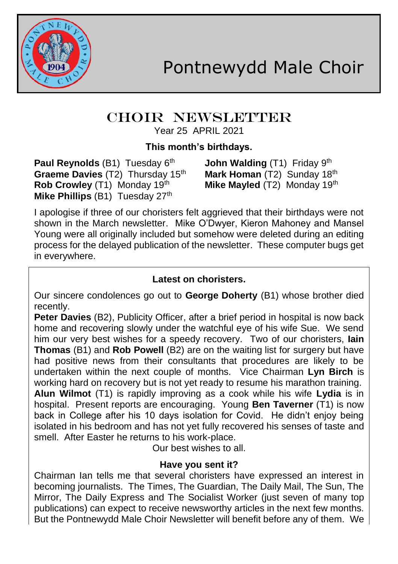

#### CHOIR NEWSLETTER Year 25 APRIL 2021

# **This month's birthdays.**

**Paul Reynolds** (B1) Tuesday 6<sup>th</sup> **John Walding** (T1) Friday 9<sup>th</sup> **Graeme Davies** (T2) Thursday 15<sup>th</sup> **Mark Homan** (T2) Sunday 18<sup>th</sup><br>**Rob Crowlev** (T1) Monday 19<sup>th</sup> **Mike Mavled** (T2) Monday 19<sup>th</sup> **Rob Crowley** (T1) Monday 19th **Mike Phillips (B1) Tuesday 27th** 

I apologise if three of our choristers felt aggrieved that their birthdays were not shown in the March newsletter. Mike O'Dwyer, Kieron Mahoney and Mansel Young were all originally included but somehow were deleted during an editing process for the delayed publication of the newsletter. These computer bugs get in everywhere.

### **Latest on choristers.**

Our sincere condolences go out to **George Doherty** (B1) whose brother died recently.

**Peter Davies** (B2), Publicity Officer, after a brief period in hospital is now back home and recovering slowly under the watchful eye of his wife Sue. We send him our very best wishes for a speedy recovery. Two of our choristers, **Iain Thomas** (B1) and **Rob Powell** (B2) are on the waiting list for surgery but have had positive news from their consultants that procedures are likely to be undertaken within the next couple of months.Vice Chairman **Lyn Birch** is working hard on recovery but is not yet ready to resume his marathon training. **Alun Wilmot** (T1) is rapidly improving as a cook while his wife **Lydia** is in hospital. Present reports are encouraging. Young **Ben Taverner** (T1) is now back in College after his 10 days isolation for Covid. He didn't enjoy being isolated in his bedroom and has not yet fully recovered his senses of taste and smell. After Easter he returns to his work-place.

Our best wishes to all.

### **Have you sent it?**

Chairman Ian tells me that several choristers have expressed an interest in becoming journalists. The Times, The Guardian, The Daily Mail, The Sun, The Mirror, The Daily Express and The Socialist Worker (just seven of many top publications) can expect to receive newsworthy articles in the next few months. But the Pontnewydd Male Choir Newsletter will benefit before any of them. We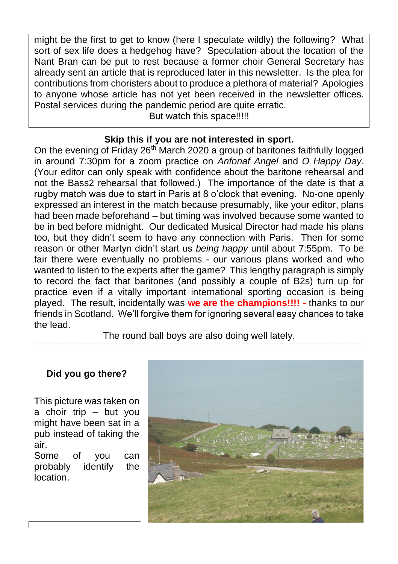might be the first to get to know (here I speculate wildly) the following? What sort of sex life does a hedgehog have? Speculation about the location of the Nant Bran can be put to rest because a former choir General Secretary has already sent an article that is reproduced later in this newsletter. Is the plea for contributions from choristers about to produce a plethora of material? Apologies to anyone whose article has not yet been received in the newsletter offices. Postal services during the pandemic period are quite erratic.

But watch this space!!!!!

### **Skip this if you are not interested in sport.**

On the evening of Friday 26<sup>th</sup> March 2020 a group of baritones faithfully logged in around 7:30pm for a zoom practice on *Anfonaf Angel* and *O Happy Day*. (Your editor can only speak with confidence about the baritone rehearsal and not the Bass2 rehearsal that followed.) The importance of the date is that a rugby match was due to start in Paris at 8 o'clock that evening. No-one openly expressed an interest in the match because presumably, like your editor, plans had been made beforehand – but timing was involved because some wanted to be in bed before midnight. Our dedicated Musical Director had made his plans too, but they didn't seem to have any connection with Paris. Then for some reason or other Martyn didn't start us *being happy* until about 7:55pm. To be fair there were eventually no problems - our various plans worked and who wanted to listen to the experts after the game? This lengthy paragraph is simply to record the fact that baritones (and possibly a couple of B2s) turn up for practice even if a vitally important international sporting occasion is being played. The result, incidentally was **we are the champions!!!! -** thanks to our friends in Scotland. We'll forgive them for ignoring several easy chances to take the lead.

The round ball boys are also doing well lately. -----------------------------------------------------------------------------------------------------------------------------------------------------------------------------------------------------------------

### **Did you go there?**

This picture was taken on a choir trip – but you might have been sat in a pub instead of taking the air.

Some of you can probably identify the location.

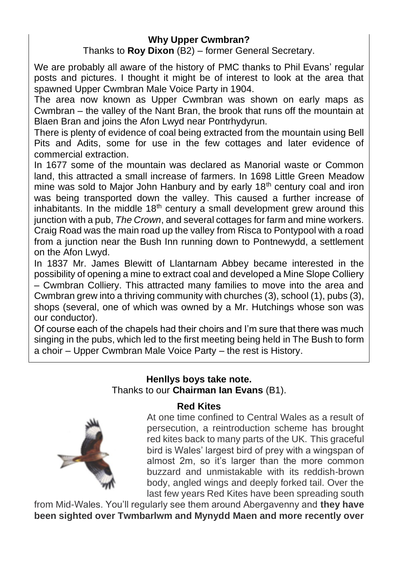#### **Why Upper Cwmbran?**

Thanks to **Roy Dixon** (B2) – former General Secretary.

We are probably all aware of the history of PMC thanks to Phil Evans' regular posts and pictures. I thought it might be of interest to look at the area that spawned Upper Cwmbran Male Voice Party in 1904.

The area now known as Upper Cwmbran was shown on early maps as Cwmbran – the valley of the Nant Bran, the brook that runs off the mountain at Blaen Bran and joins the Afon Lwyd near Pontrhydyrun.

There is plenty of evidence of coal being extracted from the mountain using Bell Pits and Adits, some for use in the few cottages and later evidence of commercial extraction.

In 1677 some of the mountain was declared as Manorial waste or Common land, this attracted a small increase of farmers. In 1698 Little Green Meadow mine was sold to Major John Hanbury and by early 18<sup>th</sup> century coal and iron was being transported down the valley. This caused a further increase of inhabitants. In the middle  $18<sup>th</sup>$  century a small development grew around this junction with a pub, *The Crown*, and several cottages for farm and mine workers. Craig Road was the main road up the valley from Risca to Pontypool with a road from a junction near the Bush Inn running down to Pontnewydd, a settlement on the Afon Lwyd.

In 1837 Mr. James Blewitt of Llantarnam Abbey became interested in the possibility of opening a mine to extract coal and developed a Mine Slope Colliery – Cwmbran Colliery. This attracted many families to move into the area and Cwmbran grew into a thriving community with churches (3), school (1), pubs (3), shops (several, one of which was owned by a Mr. Hutchings whose son was our conductor).

Of course each of the chapels had their choirs and I'm sure that there was much singing in the pubs, which led to the first meeting being held in The Bush to form a choir – Upper Cwmbran Male Voice Party – the rest is History.

# **Henllys boys take note.** Thanks to our **Chairman Ian Evans** (B1).



At one time confined to Central Wales as a result of persecution, a reintroduction scheme has brought red kites back to many parts of the UK. This graceful bird is Wales' largest bird of prey with a wingspan of almost 2m, so it's larger than the more common buzzard and unmistakable with its reddish-brown body, angled wings and deeply forked tail. Over the last few years Red Kites have been spreading south

from Mid-Wales. You'll regularly see them around Abergavenny and **they have been sighted over Twmbarlwm and Mynydd Maen and more recently over**